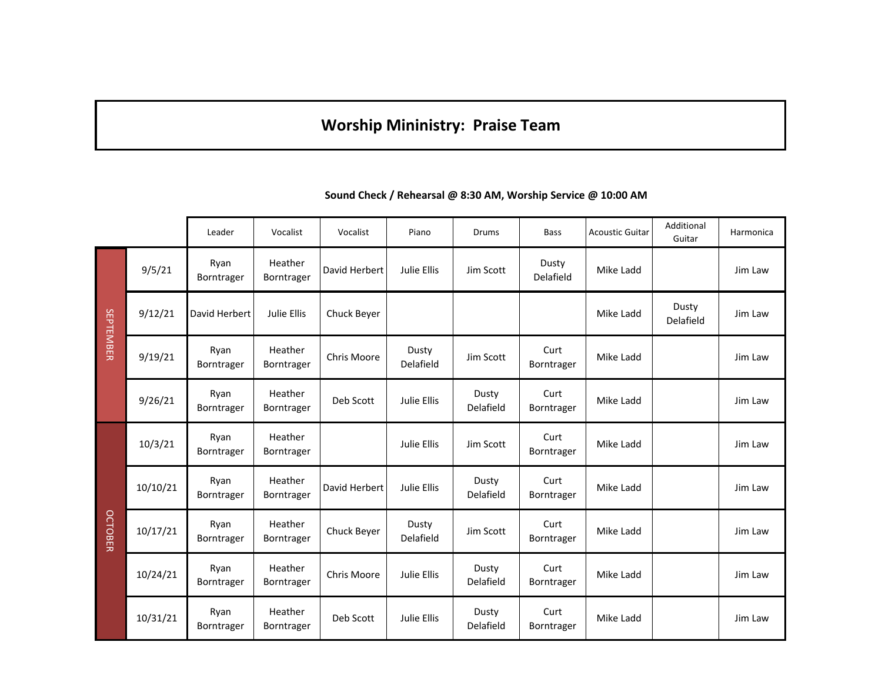## **Worship Mininistry: Praise Team**

|                |          | Leader             | Vocalist              | Vocalist      | Piano              | Drums              | <b>Bass</b>        | <b>Acoustic Guitar</b> | Additional<br>Guitar | Harmonica |
|----------------|----------|--------------------|-----------------------|---------------|--------------------|--------------------|--------------------|------------------------|----------------------|-----------|
| SEPTEMBER      | 9/5/21   | Ryan<br>Borntrager | Heather<br>Borntrager | David Herbert | Julie Ellis        | Jim Scott          | Dusty<br>Delafield | Mike Ladd              |                      | Jim Law   |
|                | 9/12/21  | David Herbert      | Julie Ellis           | Chuck Beyer   |                    |                    |                    | Mike Ladd              | Dusty<br>Delafield   | Jim Law   |
|                | 9/19/21  | Ryan<br>Borntrager | Heather<br>Borntrager | Chris Moore   | Dusty<br>Delafield | Jim Scott          | Curt<br>Borntrager | Mike Ladd              |                      | Jim Law   |
|                | 9/26/21  | Ryan<br>Borntrager | Heather<br>Borntrager | Deb Scott     | Julie Ellis        | Dusty<br>Delafield | Curt<br>Borntrager | Mike Ladd              |                      | Jim Law   |
| <b>OCTOBER</b> | 10/3/21  | Ryan<br>Borntrager | Heather<br>Borntrager |               | Julie Ellis        | Jim Scott          | Curt<br>Borntrager | Mike Ladd              |                      | Jim Law   |
|                | 10/10/21 | Ryan<br>Borntrager | Heather<br>Borntrager | David Herbert | Julie Ellis        | Dusty<br>Delafield | Curt<br>Borntrager | Mike Ladd              |                      | Jim Law   |
|                | 10/17/21 | Ryan<br>Borntrager | Heather<br>Borntrager | Chuck Beyer   | Dusty<br>Delafield | Jim Scott          | Curt<br>Borntrager | Mike Ladd              |                      | Jim Law   |
|                | 10/24/21 | Ryan<br>Borntrager | Heather<br>Borntrager | Chris Moore   | Julie Ellis        | Dusty<br>Delafield | Curt<br>Borntrager | Mike Ladd              |                      | Jim Law   |
|                | 10/31/21 | Ryan<br>Borntrager | Heather<br>Borntrager | Deb Scott     | Julie Ellis        | Dusty<br>Delafield | Curt<br>Borntrager | Mike Ladd              |                      | Jim Law   |

**Sound Check / Rehearsal @ 8:30 AM, Worship Service @ 10:00 AM**